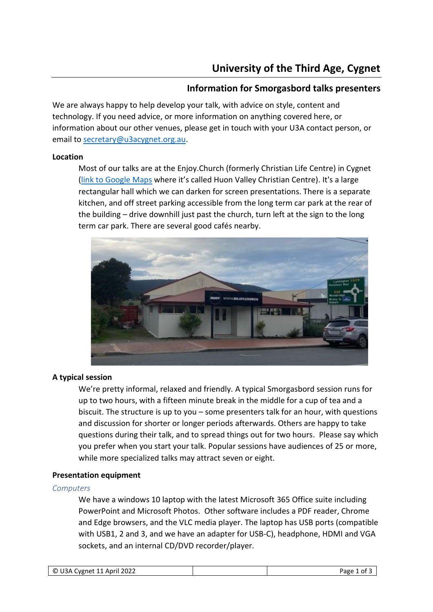# **Information for Smorgasbord talks presenters**

We are always happy to help develop your talk, with advice on style, content and technology. If you need advice, or more information on anything covered here, or information about our other venues, please get in touch with your U3A contact person, or email to [secretary@u3acygnet.org.au.](mailto:secretary@u3acygnet.org.au)

## **Location**

Most of our talks are at the Enjoy.Church (formerly Christian Life Centre) in Cygnet [\(link to Google Maps](https://www.google.com/maps/place/Huon+Valley+Christian+Centre,+8+Mary+St,+Cygnet+TAS+7112/@-43.1623537,147.0758435,17z/data=!3m1!4b1!4m5!3m4!1s0xaa6c296626ed44a5:0xf21e7cae42fa0075!8m2!3d-43.1623537!4d147.0780322) where it's called Huon Valley Christian Centre). It's a large rectangular hall which we can darken for screen presentations. There is a separate kitchen, and off street parking accessible from the long term car park at the rear of the building – drive downhill just past the church, turn left at the sign to the long term car park. There are several good cafés nearby.



# **A typical session**

We're pretty informal, relaxed and friendly. A typical Smorgasbord session runs for up to two hours, with a fifteen minute break in the middle for a cup of tea and a biscuit. The structure is up to you – some presenters talk for an hour, with questions and discussion for shorter or longer periods afterwards. Others are happy to take questions during their talk, and to spread things out for two hours. Please say which you prefer when you start your talk. Popular sessions have audiences of 25 or more, while more specialized talks may attract seven or eight.

## **Presentation equipment**

## *Computers*

We have a windows 10 laptop with the latest Microsoft 365 Office suite including PowerPoint and Microsoft Photos. Other software includes a PDF reader, Chrome and Edge browsers, and the VLC media player. The laptop has USB ports (compatible with USB1, 2 and 3, and we have an adapter for USB-C), headphone, HDMI and VGA sockets, and an internal CD/DVD recorder/player.

| © U3A Cygnet 11 April 2022 | Page 1 of 5 |
|----------------------------|-------------|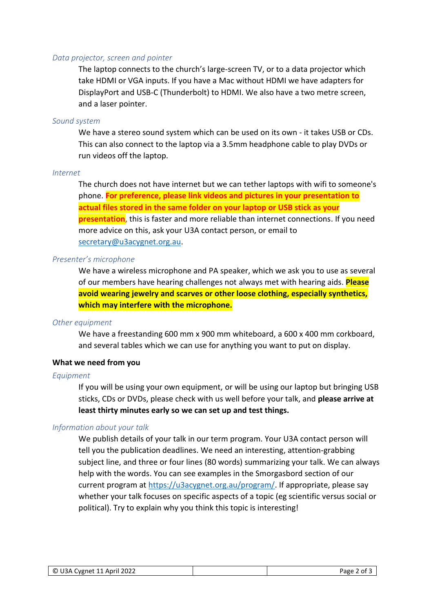## *Data projector, screen and pointer*

The laptop connects to the church's large-screen TV, or to a data projector which take HDMI or VGA inputs. If you have a Mac without HDMI we have adapters for DisplayPort and USB-C (Thunderbolt) to HDMI. We also have a two metre screen, and a laser pointer.

### *Sound system*

We have a stereo sound system which can be used on its own - it takes USB or CDs. This can also connect to the laptop via a 3.5mm headphone cable to play DVDs or run videos off the laptop.

#### *Internet*

The church does not have internet but we can tether laptops with wifi to someone's phone. **For preference, please link videos and pictures in your presentation to actual files stored in the same folder on your laptop or USB stick as your presentation**, this is faster and more reliable than internet connections. If you need more advice on this, ask your U3A contact person, or email to [secretary@u3acygnet.org.au.](mailto:secretary@u3acygnet.org.au)

## *Presenter's microphone*

We have a wireless microphone and PA speaker, which we ask you to use as several of our members have hearing challenges not always met with hearing aids. **Please avoid wearing jewelry and scarves or other loose clothing, especially synthetics, which may interfere with the microphone.**

#### *Other equipment*

We have a freestanding 600 mm x 900 mm whiteboard, a 600 x 400 mm corkboard, and several tables which we can use for anything you want to put on display.

### **What we need from you**

#### *Equipment*

If you will be using your own equipment, or will be using our laptop but bringing USB sticks, CDs or DVDs, please check with us well before your talk, and **please arrive at least thirty minutes early so we can set up and test things.**

## *Information about your talk*

We publish details of your talk in our term program. Your U3A contact person will tell you the publication deadlines. We need an interesting, attention-grabbing subject line, and three or four lines (80 words) summarizing your talk. We can always help with the words. You can see examples in the Smorgasbord section of our current program at [https://u3acygnet.org.au/program/.](https://u3acygnet.org.au/program/) If appropriate, please say whether your talk focuses on specific aspects of a topic (eg scientific versus social or political). Try to explain why you think this topic is interesting!